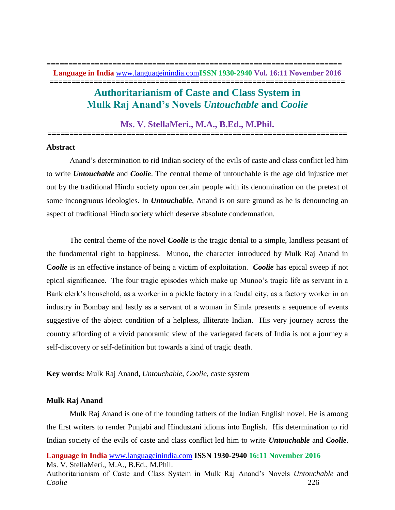**=================================================================== Language in India** [www.languageinindia.com](http://www.languageinindia.com/)**ISSN 1930-2940 Vol. 16:11 November 2016 ===================================================================**

# **Authoritarianism of Caste and Class System in Mulk Raj Anand's Novels** *Untouchable* **and** *Coolie*

# **Ms. V. StellaMeri., M.A., B.Ed., M.Phil. ====================================================================**

#### **Abstract**

Anand's determination to rid Indian society of the evils of caste and class conflict led him to write *Untouchable* and *Coolie*. The central theme of untouchable is the age old injustice met out by the traditional Hindu society upon certain people with its denomination on the pretext of some incongruous ideologies. In *Untouchable*, Anand is on sure ground as he is denouncing an aspect of traditional Hindu society which deserve absolute condemnation.

The central theme of the novel *Coolie* is the tragic denial to a simple, landless peasant of the fundamental right to happiness. Munoo, the character introduced by Mulk Raj Anand in **Coolie** is an effective instance of being a victim of exploitation. *Coolie* has epical sweep if not epical significance. The four tragic episodes which make up Munoo's tragic life as servant in a Bank clerk's household, as a worker in a pickle factory in a feudal city, as a factory worker in an industry in Bombay and lastly as a servant of a woman in Simla presents a sequence of events suggestive of the abject condition of a helpless, illiterate Indian. His very journey across the country affording of a vivid panoramic view of the variegated facets of India is not a journey a self-discovery or self-definition but towards a kind of tragic death.

**Key words:** Mulk Raj Anand, *Untouchable, Coolie,* caste system

## **Mulk Raj Anand**

Mulk Raj Anand is one of the founding fathers of the Indian English novel. He is among the first writers to render Punjabi and Hindustani idioms into English. His determination to rid Indian society of the evils of caste and class conflict led him to write *Untouchable* and *Coolie*.

**Language in India** [www.languageinindia.com](http://www.languageinindia.com/) **ISSN 1930-2940 16:11 November 2016** Ms. V. StellaMeri., M.A., B.Ed., M.Phil.

Authoritarianism of Caste and Class System in Mulk Raj Anand's Novels *Untouchable* and *Coolie* 226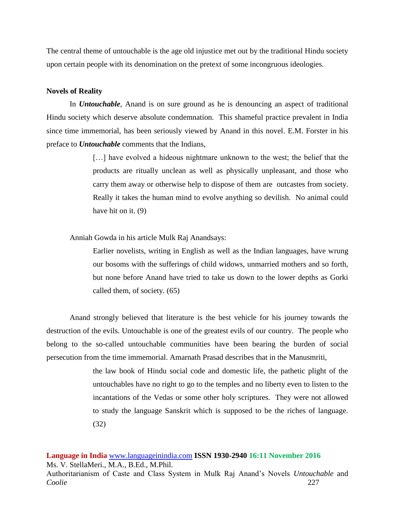The central theme of untouchable is the age old injustice met out by the traditional Hindu society upon certain people with its denomination on the pretext of some incongruous ideologies.

#### **Novels of Reality**

In *Untouchable*, Anand is on sure ground as he is denouncing an aspect of traditional Hindu society which deserve absolute condemnation. This shameful practice prevalent in India since time immemorial, has been seriously viewed by Anand in this novel. E.M. Forster in his preface to *Untouchable* comments that the Indians,

> [...] have evolved a hideous nightmare unknown to the west; the belief that the products are ritually unclean as well as physically unpleasant, and those who carry them away or otherwise help to dispose of them are outcastes from society. Really it takes the human mind to evolve anything so devilish. No animal could have hit on it. (9)

Anniah Gowda in his article Mulk Raj Anandsays:

Earlier novelists, writing in English as well as the Indian languages, have wrung our bosoms with the sufferings of child widows, unmarried mothers and so forth, but none before Anand have tried to take us down to the lower depths as Gorki called them, of society. (65)

Anand strongly believed that literature is the best vehicle for his journey towards the destruction of the evils. Untouchable is one of the greatest evils of our country. The people who belong to the so-called untouchable communities have been bearing the burden of social persecution from the time immemorial. Amarnath Prasad describes that in the Manusmriti,

> the law book of Hindu social code and domestic life, the pathetic plight of the untouchables have no right to go to the temples and no liberty even to listen to the incantations of the Vedas or some other holy scriptures. They were not allowed to study the language Sanskrit which is supposed to be the riches of language. (32)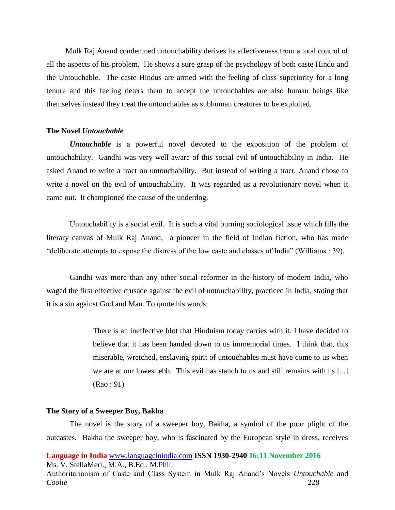Mulk Raj Anand condemned untouchability derives its effectiveness from a total control of all the aspects of his problem. He shows a sure grasp of the psychology of both caste Hindu and the Untouchable. The caste Hindus are armed with the feeling of class superiority for a long tenure and this feeling deters them to accept the untouchables are also human beings like themselves instead they treat the untouchables as subhuman creatures to be exploited.

#### **The Novel** *Untouchable*

*Untouchable* is a powerful novel devoted to the exposition of the problem of untouchability. Gandhi was very well aware of this social evil of untouchability in India. He asked Anand to write a tract on untouchability. But instead of writing a tract, Anand chose to write a novel on the evil of untouchability. It was regarded as a revolutionary novel when it came out. It championed the cause of the underdog.

Untouchability is a social evil. It is such a vital burning sociological issue which fills the literary canvas of Mulk Raj Anand, a pioneer in the field of Indian fiction, who has made "deliberate attempts to expose the distress of the low caste and classes of India" (Williams : 39).

Gandhi was more than any other social reformer in the history of modern India, who waged the first effective crusade against the evil of untouchability, practiced in India, stating that it is a sin against God and Man. To quote his words:

> There is an ineffective blot that Hinduism today carries with it. I have decided to believe that it has been handed down to us immemorial times. I think that, this miserable, wretched, enslaving spirit of untouchables must have come to us when we are at our lowest ebb. This evil has stanch to us and still remains with us [...] (Rao : 91)

# **The Story of a Sweeper Boy, Bakha**

The novel is the story of a sweeper boy, Bakha, a symbol of the poor plight of the outcastes. Bakha the sweeper boy, who is fascinated by the European style in dress, receives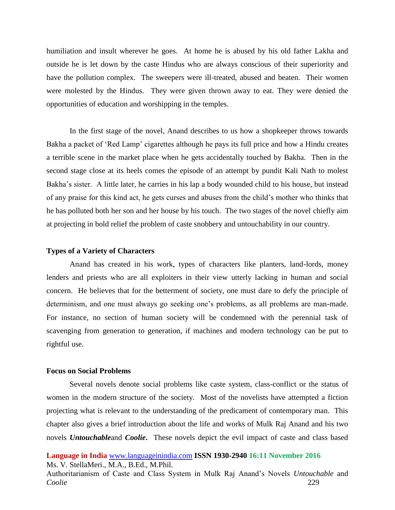humiliation and insult wherever he goes. At home he is abused by his old father Lakha and outside he is let down by the caste Hindus who are always conscious of their superiority and have the pollution complex. The sweepers were ill-treated, abused and beaten. Their women were molested by the Hindus. They were given thrown away to eat. They were denied the opportunities of education and worshipping in the temples.

In the first stage of the novel, Anand describes to us how a shopkeeper throws towards Bakha a packet of 'Red Lamp' cigarettes although he pays its full price and how a Hindu creates a terrible scene in the market place when he gets accidentally touched by Bakha. Then in the second stage close at its heels comes the episode of an attempt by pundit Kali Nath to molest Bakha's sister. A little later, he carries in his lap a body wounded child to his house, but instead of any praise for this kind act, he gets curses and abuses from the child's mother who thinks that he has polluted both her son and her house by his touch. The two stages of the novel chiefly aim at projecting in bold relief the problem of caste snobbery and untouchability in our country.

#### **Types of a Variety of Characters**

Anand has created in his work, types of characters like planters, land-lords, money lenders and priests who are all exploiters in their view utterly lacking in human and social concern. He believes that for the betterment of society, one must dare to defy the principle of determinism, and one must always go seeking one's problems, as all problems are man-made. For instance, no section of human society will be condemned with the perennial task of scavenging from generation to generation, if machines and modern technology can be put to rightful use.

#### **Focus on Social Problems**

Several novels denote social problems like caste system, class-conflict or the status of women in the modern structure of the society. Most of the novelists have attempted a fiction projecting what is relevant to the understanding of the predicament of contemporary man. This chapter also gives a brief introduction about the life and works of Mulk Raj Anand and his two novels *Untouchable*and *Coolie***.** These novels depict the evil impact of caste and class based

**Language in India** [www.languageinindia.com](http://www.languageinindia.com/) **ISSN 1930-2940 16:11 November 2016** Ms. V. StellaMeri., M.A., B.Ed., M.Phil.

Authoritarianism of Caste and Class System in Mulk Raj Anand's Novels *Untouchable* and *Coolie* 229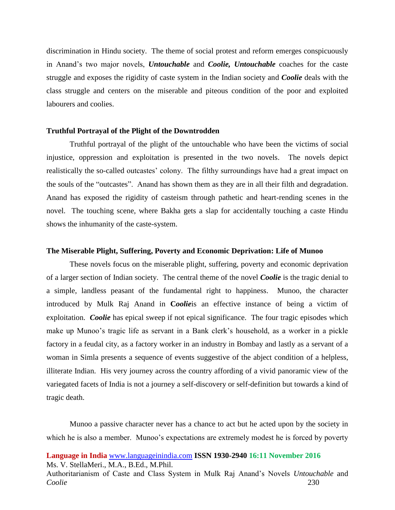discrimination in Hindu society. The theme of social protest and reform emerges conspicuously in Anand's two major novels, *Untouchable* and *Coolie, Untouchable* coaches for the caste struggle and exposes the rigidity of caste system in the Indian society and *Coolie* deals with the class struggle and centers on the miserable and piteous condition of the poor and exploited labourers and coolies.

#### **Truthful Portrayal of the Plight of the Downtrodden**

Truthful portrayal of the plight of the untouchable who have been the victims of social injustice, oppression and exploitation is presented in the two novels. The novels depict realistically the so-called outcastes' colony. The filthy surroundings have had a great impact on the souls of the "outcastes". Anand has shown them as they are in all their filth and degradation. Anand has exposed the rigidity of casteism through pathetic and heart-rending scenes in the novel. The touching scene, where Bakha gets a slap for accidentally touching a caste Hindu shows the inhumanity of the caste-system.

#### **The Miserable Plight, Suffering, Poverty and Economic Deprivation: Life of Munoo**

These novels focus on the miserable plight, suffering, poverty and economic deprivation of a larger section of Indian society. The central theme of the novel *Coolie* is the tragic denial to a simple, landless peasant of the fundamental right to happiness. Munoo, the character introduced by Mulk Raj Anand in **C***oolie*is an effective instance of being a victim of exploitation. *Coolie* has epical sweep if not epical significance. The four tragic episodes which make up Munoo's tragic life as servant in a Bank clerk's household, as a worker in a pickle factory in a feudal city, as a factory worker in an industry in Bombay and lastly as a servant of a woman in Simla presents a sequence of events suggestive of the abject condition of a helpless, illiterate Indian. His very journey across the country affording of a vivid panoramic view of the variegated facets of India is not a journey a self-discovery or self-definition but towards a kind of tragic death.

Munoo a passive character never has a chance to act but he acted upon by the society in which he is also a member. Munoo's expectations are extremely modest he is forced by poverty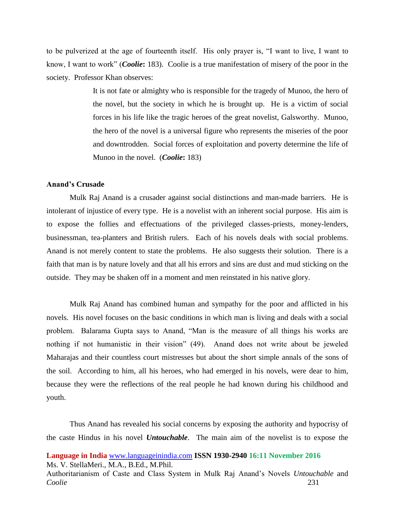to be pulverized at the age of fourteenth itself. His only prayer is, "I want to live, I want to know, I want to work" (*Coolie***:** 183). Coolie is a true manifestation of misery of the poor in the society. Professor Khan observes:

> It is not fate or almighty who is responsible for the tragedy of Munoo, the hero of the novel, but the society in which he is brought up. He is a victim of social forces in his life like the tragic heroes of the great novelist, Galsworthy. Munoo, the hero of the novel is a universal figure who represents the miseries of the poor and downtrodden. Social forces of exploitation and poverty determine the life of Munoo in the novel. (*Coolie***:** 183)

# **Anand's Crusade**

Mulk Raj Anand is a crusader against social distinctions and man-made barriers. He is intolerant of injustice of every type. He is a novelist with an inherent social purpose. His aim is to expose the follies and effectuations of the privileged classes-priests, money-lenders, businessman, tea-planters and British rulers. Each of his novels deals with social problems. Anand is not merely content to state the problems. He also suggests their solution. There is a faith that man is by nature lovely and that all his errors and sins are dust and mud sticking on the outside. They may be shaken off in a moment and men reinstated in his native glory.

Mulk Raj Anand has combined human and sympathy for the poor and afflicted in his novels. His novel focuses on the basic conditions in which man is living and deals with a social problem. Balarama Gupta says to Anand, "Man is the measure of all things his works are nothing if not humanistic in their vision" (49). Anand does not write about be jeweled Maharajas and their countless court mistresses but about the short simple annals of the sons of the soil. According to him, all his heroes, who had emerged in his novels, were dear to him, because they were the reflections of the real people he had known during his childhood and youth.

Thus Anand has revealed his social concerns by exposing the authority and hypocrisy of the caste Hindus in his novel *Untouchable*. The main aim of the novelist is to expose the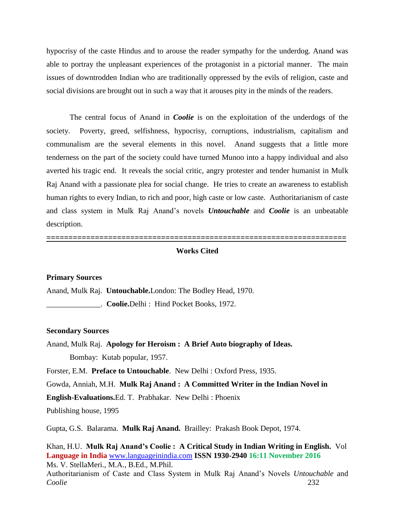hypocrisy of the caste Hindus and to arouse the reader sympathy for the underdog. Anand was able to portray the unpleasant experiences of the protagonist in a pictorial manner. The main issues of downtrodden Indian who are traditionally oppressed by the evils of religion, caste and social divisions are brought out in such a way that it arouses pity in the minds of the readers.

The central focus of Anand in *Coolie* is on the exploitation of the underdogs of the society. Poverty, greed, selfishness, hypocrisy, corruptions, industrialism, capitalism and communalism are the several elements in this novel. Anand suggests that a little more tenderness on the part of the society could have turned Munoo into a happy individual and also averted his tragic end. It reveals the social critic, angry protester and tender humanist in Mulk Raj Anand with a passionate plea for social change. He tries to create an awareness to establish human rights to every Indian, to rich and poor, high caste or low caste. Authoritarianism of caste and class system in Mulk Raj Anand's novels *Untouchable* and *Coolie* is an unbeatable description.

#### **Works Cited**

**====================================================================**

# **Primary Sources**

Anand, Mulk Raj. **Untouchable.**London: The Bodley Head, 1970.

\_\_\_\_\_\_\_\_\_\_\_\_\_\_. **Coolie.**Delhi : Hind Pocket Books, 1972.

#### **Secondary Sources**

Anand, Mulk Raj. **Apology for Heroism : A Brief Auto biography of Ideas.**  Bombay: Kutab popular, 1957.

Forster, E.M. **Preface to Untouchable**. New Delhi : Oxford Press, 1935.

Gowda, Anniah, M.H. **Mulk Raj Anand : A Committed Writer in the Indian Novel in** 

**English-Evaluations.**Ed. T. Prabhakar. New Delhi : Phoenix

Publishing house, 1995

Gupta, G.S. Balarama. **Mulk Raj Anand.** Brailley: Prakash Book Depot, 1974.

**Language in India** [www.languageinindia.com](http://www.languageinindia.com/) **ISSN 1930-2940 16:11 November 2016** Ms. V. StellaMeri., M.A., B.Ed., M.Phil. Authoritarianism of Caste and Class System in Mulk Raj Anand's Novels *Untouchable* and *Coolie* 232 Khan, H.U. **Mulk Raj Anand's Coolie : A Critical Study in Indian Writing in English.** Vol